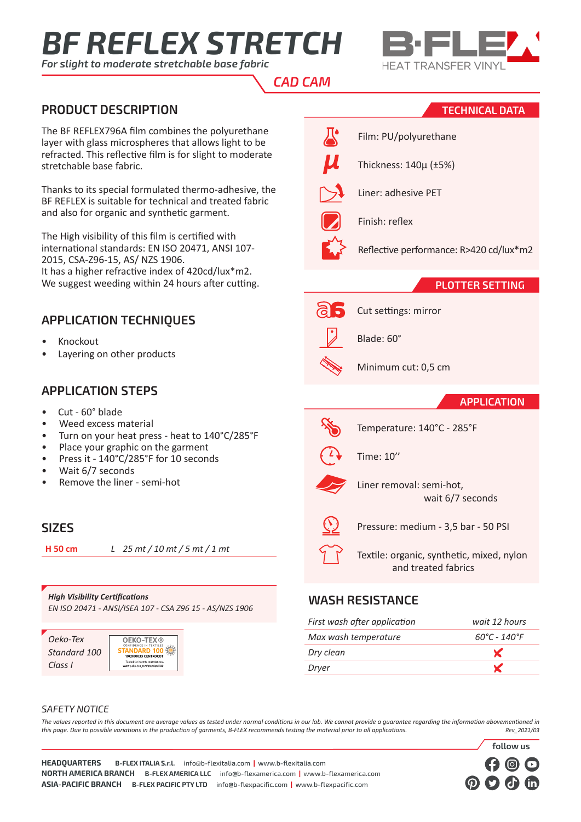# *BF REFLEX STRETCH*

*For slight to moderate stretchable base fabric*



## *CAD CAM*

#### **PRODUCT DESCRIPTION**

The BF REFLEX796A film combines the polyurethane layer with glass microspheres that allows light to be refracted. This reflective film is for slight to moderate stretchable base fabric.

Thanks to its special formulated thermo-adhesive, the BF REFLEX is suitable for technical and treated fabric and also for organic and synthetic garment.

The High visibility of this film is certified with international standards: EN ISO 20471, ANSI 107- 2015, CSA-Z96-15, AS/ NZS 1906. It has a higher refractive index of 420cd/lux\*m2. We suggest weeding within 24 hours after cutting.

### **APPLICATION TECHNIQUES**

- Knockout
- Layering on other products

#### **APPLICATION STEPS**

- Cut 60° blade
- Weed excess material
- Turn on your heat press heat to 140°C/285°F
- Place your graphic on the garment
- Press it 140°C/285°F for 10 seconds
- Wait 6/7 seconds
- Remove the liner semi-hot

#### **SIZES**

**H 50 cm** *L 25 mt / 10 mt / 5 mt / 1 mt*

*High Visibility Certifications EN ISO 20471 - ANSI/ISEA 107 - CSA Z96 15 - AS/NZS 1906*



#### **TECHNICAL DATA**

| Film: PU/polyurethane                                            |
|------------------------------------------------------------------|
| Thickness: 140µ (±5%)                                            |
| Liner: adhesive PET                                              |
| Finish: reflex                                                   |
| Reflective performance: R>420 cd/lux*m2                          |
| <b>PLOTTER SETTING</b>                                           |
| Cut settings: mirror                                             |
| Blade: 60°                                                       |
| Minimum cut: 0,5 cm                                              |
| <b>APPLICATION</b>                                               |
| Temperature: 140°C - 285°F                                       |
| Time: 10"                                                        |
| Liner removal: semi-hot,<br>wait 6/7 seconds                     |
| Pressure: medium - 3,5 bar - 50 PSI                              |
| Textile: organic, synthetic, mixed, nylon<br>and treated fabrics |

#### **WASH RESISTANCE**

| First wash after application | wait 12 hours                     |
|------------------------------|-----------------------------------|
| Max wash temperature         | $60^{\circ}$ C - 140 $^{\circ}$ F |
| Dry clean                    | $\mathbf{x}$                      |
| Dryer                        | $\mathbf{x}$                      |
|                              |                                   |

**follow us**

#### *SAFETY NOTICE*

*The values reported in this document are average values as tested under normal conditions in our lab. We cannot provide a guarantee regarding the information abovementioned in this page. Due to possible variations in the production of garments, B-FLEX recommends testing the material prior to all applications. Rev\_2021/03*